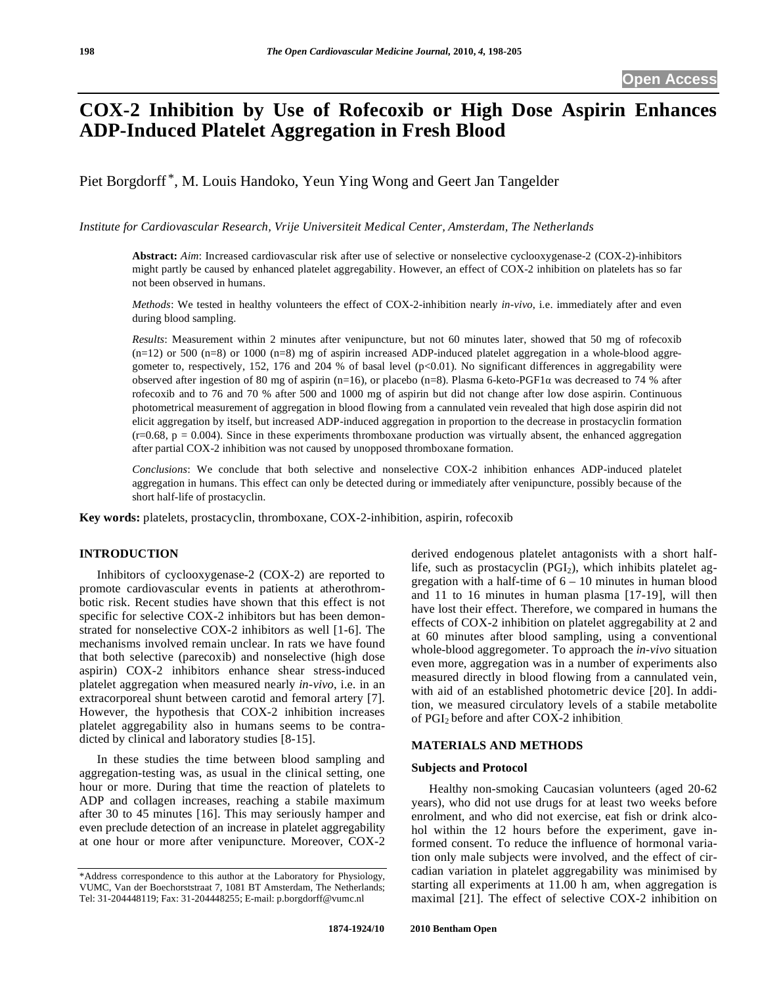# **COX-2 Inhibition by Use of Rofecoxib or High Dose Aspirin Enhances ADP-Induced Platelet Aggregation in Fresh Blood**

Piet Borgdorff \*, M. Louis Handoko, Yeun Ying Wong and Geert Jan Tangelder

*Institute for Cardiovascular Research, Vrije Universiteit Medical Center, Amsterdam, The Netherlands* 

**Abstract:** *Aim*: Increased cardiovascular risk after use of selective or nonselective cyclooxygenase-2 (COX-2)-inhibitors might partly be caused by enhanced platelet aggregability. However, an effect of COX-2 inhibition on platelets has so far not been observed in humans.

*Methods*: We tested in healthy volunteers the effect of COX-2-inhibition nearly *in-vivo*, i.e. immediately after and even during blood sampling.

*Results*: Measurement within 2 minutes after venipuncture, but not 60 minutes later, showed that 50 mg of rofecoxib  $(n=12)$  or 500  $(n=8)$  or 1000  $(n=8)$  mg of aspirin increased ADP-induced platelet aggregation in a whole-blood aggregometer to, respectively, 152, 176 and 204 % of basal level  $(p<0.01)$ . No significant differences in aggregability were observed after ingestion of 80 mg of aspirin (n=16), or placebo (n=8). Plasma 6-keto-PGF1 $\alpha$  was decreased to 74 % after rofecoxib and to 76 and 70 % after 500 and 1000 mg of aspirin but did not change after low dose aspirin. Continuous photometrical measurement of aggregation in blood flowing from a cannulated vein revealed that high dose aspirin did not elicit aggregation by itself, but increased ADP-induced aggregation in proportion to the decrease in prostacyclin formation  $(r=0.68, p = 0.004)$ . Since in these experiments thromboxane production was virtually absent, the enhanced aggregation after partial COX-2 inhibition was not caused by unopposed thromboxane formation.

*Conclusions*: We conclude that both selective and nonselective COX-2 inhibition enhances ADP-induced platelet aggregation in humans. This effect can only be detected during or immediately after venipuncture, possibly because of the short half-life of prostacyclin.

**Key words:** platelets, prostacyclin, thromboxane, COX-2-inhibition, aspirin, rofecoxib

# **INTRODUCTION**

 Inhibitors of cyclooxygenase-2 (COX-2) are reported to promote cardiovascular events in patients at atherothrombotic risk. Recent studies have shown that this effect is not specific for selective COX-2 inhibitors but has been demonstrated for nonselective COX-2 inhibitors as well [1-6]. The mechanisms involved remain unclear. In rats we have found that both selective (parecoxib) and nonselective (high dose aspirin) COX-2 inhibitors enhance shear stress-induced platelet aggregation when measured nearly *in-vivo*, i.e. in an extracorporeal shunt between carotid and femoral artery [7]. However, the hypothesis that COX-2 inhibition increases platelet aggregability also in humans seems to be contradicted by clinical and laboratory studies [8-15].

 In these studies the time between blood sampling and aggregation-testing was, as usual in the clinical setting, one hour or more. During that time the reaction of platelets to ADP and collagen increases, reaching a stabile maximum after 30 to 45 minutes [16]. This may seriously hamper and even preclude detection of an increase in platelet aggregability at one hour or more after venipuncture. Moreover, COX-2

derived endogenous platelet antagonists with a short halflife, such as prostacyclin  $(PGI<sub>2</sub>)$ , which inhibits platelet aggregation with a half-time of  $6 - 10$  minutes in human blood and 11 to 16 minutes in human plasma [17-19], will then have lost their effect. Therefore, we compared in humans the effects of COX-2 inhibition on platelet aggregability at 2 and at 60 minutes after blood sampling, using a conventional whole-blood aggregometer. To approach the *in-vivo* situation even more, aggregation was in a number of experiments also measured directly in blood flowing from a cannulated vein, with aid of an established photometric device [20]. In addition, we measured circulatory levels of a stabile metabolite of PGI2 before and after COX-2 inhibition.

# **MATERIALS AND METHODS**

#### **Subjects and Protocol**

 Healthy non-smoking Caucasian volunteers (aged 20-62 years), who did not use drugs for at least two weeks before enrolment, and who did not exercise, eat fish or drink alcohol within the 12 hours before the experiment, gave informed consent. To reduce the influence of hormonal variation only male subjects were involved, and the effect of circadian variation in platelet aggregability was minimised by starting all experiments at 11.00 h am, when aggregation is maximal [21]. The effect of selective COX-2 inhibition on

<sup>\*</sup>Address correspondence to this author at the Laboratory for Physiology, VUMC, Van der Boechorststraat 7, 1081 BT Amsterdam, The Netherlands; Tel: 31-204448119; Fax: 31-204448255; E-mail: p.borgdorff@vumc.nl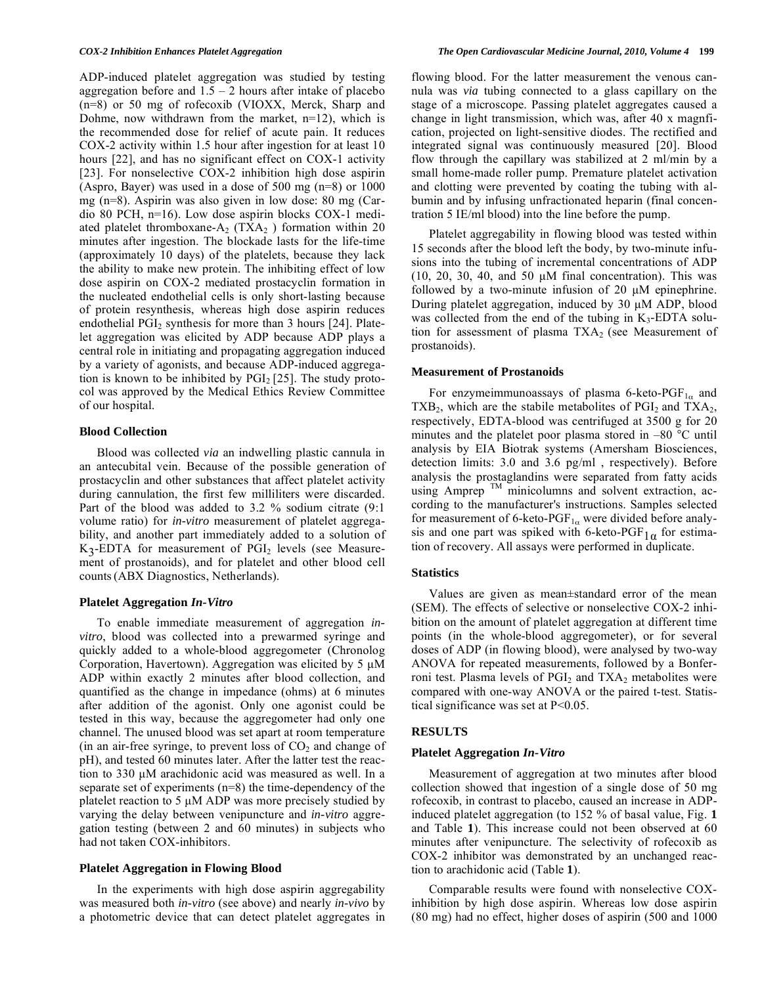ADP-induced platelet aggregation was studied by testing aggregation before and  $1.5 - 2$  hours after intake of placebo (n=8) or 50 mg of rofecoxib (VIOXX, Merck, Sharp and Dohme, now withdrawn from the market,  $n=12$ ), which is the recommended dose for relief of acute pain. It reduces COX-2 activity within 1.5 hour after ingestion for at least 10 hours [22], and has no significant effect on COX-1 activity [23]. For nonselective COX-2 inhibition high dose aspirin (Aspro, Bayer) was used in a dose of 500 mg (n=8) or 1000 mg (n=8). Aspirin was also given in low dose: 80 mg (Cardio 80 PCH, n=16). Low dose aspirin blocks COX-1 mediated platelet thromboxane- $A_2$  (TX $A_2$ ) formation within 20 minutes after ingestion. The blockade lasts for the life-time (approximately 10 days) of the platelets, because they lack the ability to make new protein. The inhibiting effect of low dose aspirin on COX-2 mediated prostacyclin formation in the nucleated endothelial cells is only short-lasting because of protein resynthesis, whereas high dose aspirin reduces endothelial  $PGI<sub>2</sub>$  synthesis for more than 3 hours [24]. Platelet aggregation was elicited by ADP because ADP plays a central role in initiating and propagating aggregation induced by a variety of agonists, and because ADP-induced aggregation is known to be inhibited by  $PGI<sub>2</sub> [25]$ . The study protocol was approved by the Medical Ethics Review Committee of our hospital.

# **Blood Collection**

 Blood was collected *via* an indwelling plastic cannula in an antecubital vein. Because of the possible generation of prostacyclin and other substances that affect platelet activity during cannulation, the first few milliliters were discarded. Part of the blood was added to 3.2 % sodium citrate (9:1 volume ratio) for *in-vitro* measurement of platelet aggregability, and another part immediately added to a solution of  $K_3$ -EDTA for measurement of PGI<sub>2</sub> levels (see Measurement of prostanoids), and for platelet and other blood cell counts(ABX Diagnostics, Netherlands).

#### **Platelet Aggregation** *In-Vitro*

 To enable immediate measurement of aggregation *invitro*, blood was collected into a prewarmed syringe and quickly added to a whole-blood aggregometer (Chronolog Corporation, Havertown). Aggregation was elicited by 5 μM ADP within exactly 2 minutes after blood collection, and quantified as the change in impedance (ohms) at 6 minutes after addition of the agonist. Only one agonist could be tested in this way, because the aggregometer had only one channel. The unused blood was set apart at room temperature (in an air-free syringe, to prevent loss of  $CO<sub>2</sub>$  and change of pH), and tested 60 minutes later. After the latter test the reaction to 330 μM arachidonic acid was measured as well. In a separate set of experiments (n=8) the time-dependency of the platelet reaction to 5 μM ADP was more precisely studied by varying the delay between venipuncture and *in-vitro* aggregation testing (between 2 and 60 minutes) in subjects who had not taken COX-inhibitors.

## **Platelet Aggregation in Flowing Blood**

 In the experiments with high dose aspirin aggregability was measured both *in-vitro* (see above) and nearly *in-vivo* by a photometric device that can detect platelet aggregates in flowing blood. For the latter measurement the venous cannula was *via* tubing connected to a glass capillary on the stage of a microscope. Passing platelet aggregates caused a change in light transmission, which was, after 40 x magnfication, projected on light-sensitive diodes. The rectified and integrated signal was continuously measured [20]. Blood flow through the capillary was stabilized at 2 ml/min by a small home-made roller pump. Premature platelet activation and clotting were prevented by coating the tubing with albumin and by infusing unfractionated heparin (final concentration 5 IE/ml blood) into the line before the pump.

 Platelet aggregability in flowing blood was tested within 15 seconds after the blood left the body, by two-minute infusions into the tubing of incremental concentrations of ADP  $(10, 20, 30, 40,$  and  $50 \mu M$  final concentration). This was followed by a two-minute infusion of 20 μM epinephrine. During platelet aggregation, induced by 30 μM ADP, blood was collected from the end of the tubing in  $K_3$ -EDTA solution for assessment of plasma  $TXA<sub>2</sub>$  (see Measurement of prostanoids).

#### **Measurement of Prostanoids**

For enzymeimmunoassays of plasma 6-keto-PGF<sub>1a</sub> and  $TXB_2$ , which are the stabile metabolites of  $PGI_2$  and  $TXA_2$ , respectively, EDTA-blood was centrifuged at 3500 g for 20 minutes and the platelet poor plasma stored in –80 °C until analysis by EIA Biotrak systems (Amersham Biosciences, detection limits: 3.0 and 3.6 pg/ml , respectively). Before analysis the prostaglandins were separated from fatty acids using Amprep  $TM$  minicolumns and solvent extraction, according to the manufacturer's instructions. Samples selected for measurement of 6-keto-PGF<sub>1 $\alpha$ </sub> were divided before analysis and one part was spiked with 6-keto-PGF<sub>1 $\alpha$ </sub> for estimation of recovery. All assays were performed in duplicate.

## **Statistics**

 Values are given as mean±standard error of the mean (SEM). The effects of selective or nonselective COX-2 inhibition on the amount of platelet aggregation at different time points (in the whole-blood aggregometer), or for several doses of ADP (in flowing blood), were analysed by two-way ANOVA for repeated measurements, followed by a Bonferroni test. Plasma levels of  $PGI<sub>2</sub>$  and  $TXA<sub>2</sub>$  metabolites were compared with one-way ANOVA or the paired t-test. Statistical significance was set at P<0.05.

#### **RESULTS**

#### **Platelet Aggregation** *In-Vitro*

 Measurement of aggregation at two minutes after blood collection showed that ingestion of a single dose of 50 mg rofecoxib, in contrast to placebo, caused an increase in ADPinduced platelet aggregation (to 152 % of basal value, Fig. **1** and Table **1**). This increase could not been observed at 60 minutes after venipuncture. The selectivity of rofecoxib as COX-2 inhibitor was demonstrated by an unchanged reaction to arachidonic acid (Table **1**).

 Comparable results were found with nonselective COXinhibition by high dose aspirin. Whereas low dose aspirin (80 mg) had no effect, higher doses of aspirin (500 and 1000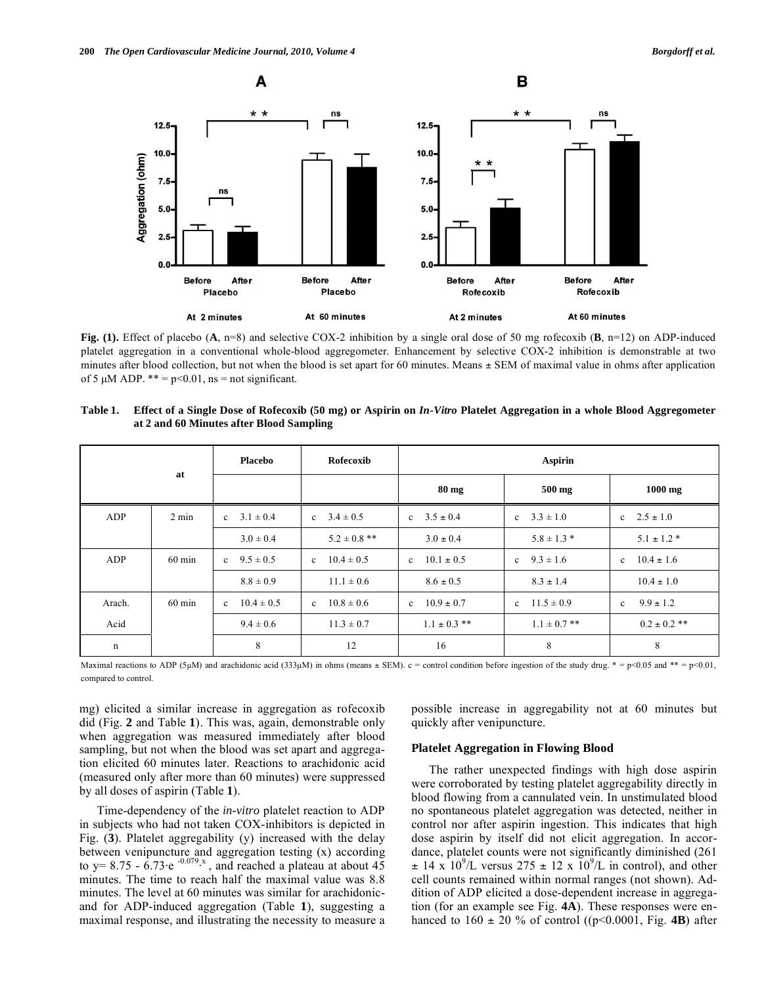

**Fig. (1).** Effect of placebo (**A**, n=8) and selective COX-2 inhibition by a single oral dose of 50 mg rofecoxib (**B**, n=12) on ADP-induced platelet aggregation in a conventional whole-blood aggregometer. Enhancement by selective COX-2 inhibition is demonstrable at two minutes after blood collection, but not when the blood is set apart for 60 minutes. Means  $\pm$  SEM of maximal value in ohms after application of 5  $\mu$ M ADP. \*\* = p<0.01, ns = not significant.

|             |                  | Placebo                        | Rofecoxib                      | <b>Aspirin</b>                 |                                |                                |
|-------------|------------------|--------------------------------|--------------------------------|--------------------------------|--------------------------------|--------------------------------|
|             | at               |                                |                                | $80 \text{ mg}$                | 500 mg                         | $1000$ mg                      |
| ADP         | $2 \text{ min}$  | $3.1 \pm 0.4$<br>$\mathbf{c}$  | c $3.4 \pm 0.5$                | c $3.5 \pm 0.4$                | $3.3 \pm 1.0$<br>$\mathbf{c}$  | c $2.5 \pm 1.0$                |
|             |                  | $3.0 \pm 0.4$                  | $5.2 \pm 0.8$ **               | $3.0 \pm 0.4$                  | $5.8 \pm 1.3$ *                | $5.1 \pm 1.2$ *                |
| ADP         | $60 \text{ min}$ | $9.5 \pm 0.5$<br>$\mathbf{c}$  | $10.4 \pm 0.5$<br>$\mathbf{c}$ | $10.1 \pm 0.5$<br>$\mathbf{c}$ | $9.3 \pm 1.6$<br>$\mathbf{c}$  | $10.4 \pm 1.6$<br>$\mathbf{c}$ |
|             |                  | $8.8 \pm 0.9$                  | $11.1 \pm 0.6$                 | $8.6 \pm 0.5$                  | $8.3 \pm 1.4$                  | $10.4 \pm 1.0$                 |
| Arach.      | $60 \text{ min}$ | $10.4 \pm 0.5$<br>$\mathbf{c}$ | $10.8 \pm 0.6$<br>$\mathbf{c}$ | $10.9 \pm 0.7$<br>$\mathbf{c}$ | $11.5 \pm 0.9$<br>$\mathbf{c}$ | $9.9 \pm 1.2$<br>$\mathbf{c}$  |
| Acid        |                  | $9.4 \pm 0.6$                  | $11.3 \pm 0.7$                 | $1.1 \pm 0.3$ **               | $1.1 \pm 0.7$ **               | $0.2 \pm 0.2$ **               |
| $\mathbf n$ |                  | 8                              | 12                             | 16                             | 8                              | 8                              |

**Table 1. Effect of a Single Dose of Rofecoxib (50 mg) or Aspirin on** *In-Vitro* **Platelet Aggregation in a whole Blood Aggregometer at 2 and 60 Minutes after Blood Sampling** 

Maximal reactions to ADP (5µM) and arachidonic acid (333µM) in ohms (means  $\pm$  SEM). c = control condition before ingestion of the study drug. \* = p<0.05 and \*\* = p<0.01, compared to control.

mg) elicited a similar increase in aggregation as rofecoxib did (Fig. **2** and Table **1**). This was, again, demonstrable only when aggregation was measured immediately after blood sampling, but not when the blood was set apart and aggregation elicited 60 minutes later. Reactions to arachidonic acid (measured only after more than 60 minutes) were suppressed by all doses of aspirin (Table **1**).

 Time-dependency of the *in-vitro* platelet reaction to ADP in subjects who had not taken COX-inhibitors is depicted in Fig. (**3**). Platelet aggregability (y) increased with the delay between venipuncture and aggregation testing (x) according to y= 8.75 -  $\dot{6}$ .73·e <sup>-0.079</sup><sup>x</sup>, and reached a plateau at about 45 minutes. The time to reach half the maximal value was 8.8 minutes. The level at 60 minutes was similar for arachidonicand for ADP-induced aggregation (Table **1**), suggesting a maximal response, and illustrating the necessity to measure a

possible increase in aggregability not at 60 minutes but quickly after venipuncture.

## **Platelet Aggregation in Flowing Blood**

 The rather unexpected findings with high dose aspirin were corroborated by testing platelet aggregability directly in blood flowing from a cannulated vein. In unstimulated blood no spontaneous platelet aggregation was detected, neither in control nor after aspirin ingestion. This indicates that high dose aspirin by itself did not elicit aggregation. In accordance, platelet counts were not significantly diminished (261  $\pm$  14 x 10<sup>9</sup>/L versus 275  $\pm$  12 x 10<sup>9</sup>/L in control), and other cell counts remained within normal ranges (not shown). Addition of ADP elicited a dose-dependent increase in aggregation (for an example see Fig. **4A**). These responses were enhanced to  $160 \pm 20$  % of control ((p<0.0001, Fig. 4B) after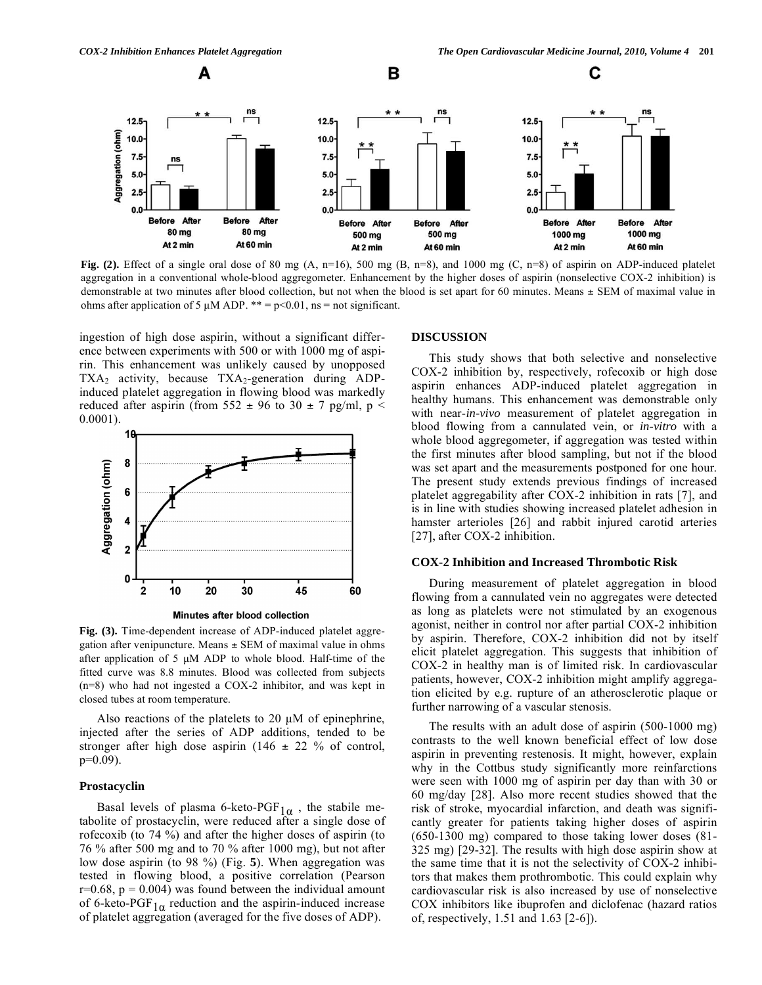С





В

**Fig. (2).** Effect of a single oral dose of 80 mg (A, n=16), 500 mg (B, n=8), and 1000 mg (C, n=8) of aspirin on ADP-induced platelet aggregation in a conventional whole-blood aggregometer. Enhancement by the higher doses of aspirin (nonselective COX-2 inhibition) is demonstrable at two minutes after blood collection, but not when the blood is set apart for 60 minutes. Means ± SEM of maximal value in ohms after application of 5  $\mu$ M ADP. \*\* = p<0.01, ns = not significant.

ingestion of high dose aspirin, without a significant difference between experiments with 500 or with 1000 mg of aspirin. This enhancement was unlikely caused by unopposed  $TXA<sub>2</sub>$  activity, because  $TXA<sub>2</sub>$ -generation during ADPinduced platelet aggregation in flowing blood was markedly reduced after aspirin (from 552  $\pm$  96 to 30  $\pm$  7 pg/ml, p < 0.0001).



Minutes after blood collection

**Fig. (3).** Time-dependent increase of ADP-induced platelet aggregation after venipuncture. Means  $\pm$  SEM of maximal value in ohms after application of 5 μM ADP to whole blood. Half-time of the fitted curve was 8.8 minutes. Blood was collected from subjects (n=8) who had not ingested a COX-2 inhibitor, and was kept in closed tubes at room temperature.

 Also reactions of the platelets to 20 μM of epinephrine, injected after the series of ADP additions, tended to be stronger after high dose aspirin (146  $\pm$  22 % of control, p=0.09).

#### **Prostacyclin**

Basal levels of plasma 6-keto-PGF<sub>1 $\alpha$ </sub>, the stabile metabolite of prostacyclin, were reduced after a single dose of rofecoxib (to 74 %) and after the higher doses of aspirin (to 76 % after 500 mg and to 70 % after 1000 mg), but not after low dose aspirin (to 98 %) (Fig. **5**). When aggregation was tested in flowing blood, a positive correlation (Pearson  $r=0.68$ ,  $p = 0.004$ ) was found between the individual amount of 6-keto-PGF<sub>1 $\alpha$ </sub> reduction and the aspirin-induced increase of platelet aggregation (averaged for the five doses of ADP).

#### **DISCUSSION**

 This study shows that both selective and nonselective COX-2 inhibition by, respectively, rofecoxib or high dose aspirin enhances ADP-induced platelet aggregation in healthy humans. This enhancement was demonstrable only with near-*in-vivo* measurement of platelet aggregation in blood flowing from a cannulated vein, or *in-vitro* with a whole blood aggregometer, if aggregation was tested within the first minutes after blood sampling, but not if the blood was set apart and the measurements postponed for one hour. The present study extends previous findings of increased platelet aggregability after COX-2 inhibition in rats [7], and is in line with studies showing increased platelet adhesion in hamster arterioles [26] and rabbit injured carotid arteries [27], after COX-2 inhibition.

## **COX-2 Inhibition and Increased Thrombotic Risk**

 During measurement of platelet aggregation in blood flowing from a cannulated vein no aggregates were detected as long as platelets were not stimulated by an exogenous agonist, neither in control nor after partial COX-2 inhibition by aspirin. Therefore, COX-2 inhibition did not by itself elicit platelet aggregation. This suggests that inhibition of COX-2 in healthy man is of limited risk. In cardiovascular patients, however, COX-2 inhibition might amplify aggregation elicited by e.g. rupture of an atherosclerotic plaque or further narrowing of a vascular stenosis.

 The results with an adult dose of aspirin (500-1000 mg) contrasts to the well known beneficial effect of low dose aspirin in preventing restenosis. It might, however, explain why in the Cottbus study significantly more reinfarctions were seen with 1000 mg of aspirin per day than with 30 or 60 mg/day [28]. Also more recent studies showed that the risk of stroke, myocardial infarction, and death was significantly greater for patients taking higher doses of aspirin (650-1300 mg) compared to those taking lower doses (81- 325 mg) [29-32]. The results with high dose aspirin show at the same time that it is not the selectivity of COX-2 inhibitors that makes them prothrombotic. This could explain why cardiovascular risk is also increased by use of nonselective COX inhibitors like ibuprofen and diclofenac (hazard ratios of, respectively, 1.51 and 1.63 [2-6]).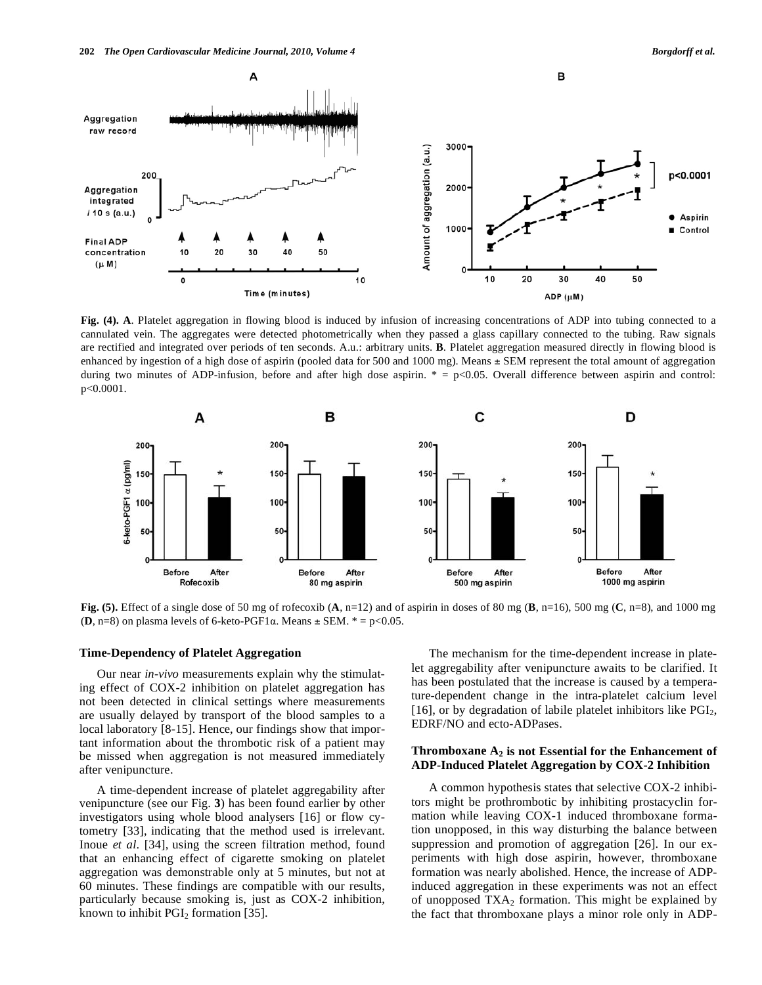

**Fig. (4). A**. Platelet aggregation in flowing blood is induced by infusion of increasing concentrations of ADP into tubing connected to a cannulated vein. The aggregates were detected photometrically when they passed a glass capillary connected to the tubing. Raw signals are rectified and integrated over periods of ten seconds. A.u.: arbitrary units. **B**. Platelet aggregation measured directly in flowing blood is enhanced by ingestion of a high dose of aspirin (pooled data for 500 and 1000 mg). Means  $\pm$  SEM represent the total amount of aggregation during two minutes of ADP-infusion, before and after high dose aspirin.  $* = p<0.05$ . Overall difference between aspirin and control: p<0.0001.



**Fig. (5).** Effect of a single dose of 50 mg of rofecoxib  $(A, n=12)$  and of aspirin in doses of 80 mg  $(B, n=16)$ , 500 mg  $(C, n=8)$ , and 1000 mg **(<b>D**, n=8) on plasma levels of 6-keto-PGF1 $\alpha$ . Means  $\pm$  SEM.  $* = p < 0.05$ .

#### **Time-Dependency of Platelet Aggregation**

 Our near *in-vivo* measurements explain why the stimulating effect of COX-2 inhibition on platelet aggregation has not been detected in clinical settings where measurements are usually delayed by transport of the blood samples to a local laboratory [8-15]. Hence, our findings show that important information about the thrombotic risk of a patient may be missed when aggregation is not measured immediately after venipuncture.

 A time-dependent increase of platelet aggregability after venipuncture (see our Fig. **3**) has been found earlier by other investigators using whole blood analysers [16] or flow cytometry [33], indicating that the method used is irrelevant. Inoue *et al*. [34], using the screen filtration method, found that an enhancing effect of cigarette smoking on platelet aggregation was demonstrable only at 5 minutes, but not at 60 minutes. These findings are compatible with our results, particularly because smoking is, just as COX-2 inhibition, known to inhibit  $PGI<sub>2</sub>$  formation [35].

 The mechanism for the time-dependent increase in platelet aggregability after venipuncture awaits to be clarified. It has been postulated that the increase is caused by a temperature-dependent change in the intra-platelet calcium level [16], or by degradation of labile platelet inhibitors like  $PGI<sub>2</sub>$ , EDRF/NO and ecto-ADPases.

## **Thromboxane**  $A_2$  **is not Essential for the Enhancement of ADP-Induced Platelet Aggregation by COX-2 Inhibition**

 A common hypothesis states that selective COX-2 inhibitors might be prothrombotic by inhibiting prostacyclin formation while leaving COX-1 induced thromboxane formation unopposed, in this way disturbing the balance between suppression and promotion of aggregation [26]. In our experiments with high dose aspirin, however, thromboxane formation was nearly abolished. Hence, the increase of ADPinduced aggregation in these experiments was not an effect of unopposed  $TXA_2$  formation. This might be explained by the fact that thromboxane plays a minor role only in ADP-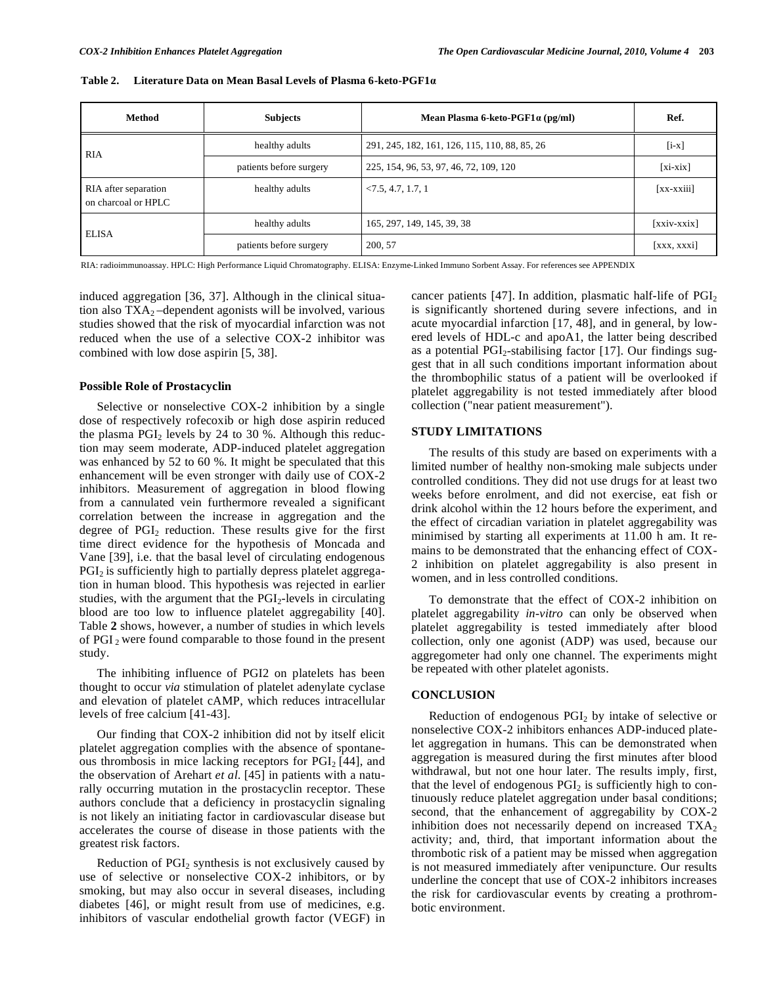| Method                                      | <b>Subjects</b>         | Mean Plasma 6-keto-PGF1 $\alpha$ (pg/ml)      | Ref.          |
|---------------------------------------------|-------------------------|-----------------------------------------------|---------------|
| <b>RIA</b>                                  | healthy adults          | 291, 245, 182, 161, 126, 115, 110, 88, 85, 26 | $[i-x]$       |
|                                             | patients before surgery | 225, 154, 96, 53, 97, 46, 72, 109, 120        | $[xi-xix]$    |
| RIA after separation<br>on charcoal or HPLC | healthy adults          | < 7.5, 4.7, 1.7, 1                            | $[xx-xxiii]$  |
| <b>ELISA</b>                                | healthy adults          | 165, 297, 149, 145, 39, 38                    | $[xxiv-xxix]$ |
|                                             | patients before surgery | 200, 57                                       | [xxx, xxxi]   |

**Table 2. Literature Data on Mean Basal Levels of Plasma 6-keto-PGF1**

RIA: radioimmunoassay. HPLC: High Performance Liquid Chromatography. ELISA: Enzyme-Linked Immuno Sorbent Assay. For references see APPENDIX

induced aggregation [36, 37]. Although in the clinical situation also  $TXA<sub>2</sub>$  –dependent agonists will be involved, various studies showed that the risk of myocardial infarction was not reduced when the use of a selective COX-2 inhibitor was combined with low dose aspirin [5, 38].

#### **Possible Role of Prostacyclin**

 Selective or nonselective COX-2 inhibition by a single dose of respectively rofecoxib or high dose aspirin reduced the plasma  $PGI<sub>2</sub>$  levels by 24 to 30 %. Although this reduction may seem moderate, ADP-induced platelet aggregation was enhanced by 52 to 60 %. It might be speculated that this enhancement will be even stronger with daily use of COX-2 inhibitors. Measurement of aggregation in blood flowing from a cannulated vein furthermore revealed a significant correlation between the increase in aggregation and the degree of PGI2 reduction. These results give for the first time direct evidence for the hypothesis of Moncada and Vane [39], i.e. that the basal level of circulating endogenous  $PGI<sub>2</sub>$  is sufficiently high to partially depress platelet aggregation in human blood. This hypothesis was rejected in earlier studies, with the argument that the  $PGI<sub>2</sub>$ -levels in circulating blood are too low to influence platelet aggregability [40]. Table **2** shows, however, a number of studies in which levels of PGI 2 were found comparable to those found in the present study.

 The inhibiting influence of PGI2 on platelets has been thought to occur *via* stimulation of platelet adenylate cyclase and elevation of platelet cAMP, which reduces intracellular levels of free calcium [41-43].

 Our finding that COX-2 inhibition did not by itself elicit platelet aggregation complies with the absence of spontaneous thrombosis in mice lacking receptors for  $PGI<sub>2</sub>$  [44], and the observation of Arehart *et al*. [45] in patients with a naturally occurring mutation in the prostacyclin receptor. These authors conclude that a deficiency in prostacyclin signaling is not likely an initiating factor in cardiovascular disease but accelerates the course of disease in those patients with the greatest risk factors.

Reduction of  $PGI<sub>2</sub>$  synthesis is not exclusively caused by use of selective or nonselective COX-2 inhibitors, or by smoking, but may also occur in several diseases, including diabetes [46], or might result from use of medicines, e.g. inhibitors of vascular endothelial growth factor (VEGF) in cancer patients  $[47]$ . In addition, plasmatic half-life of  $PGI<sub>2</sub>$ is significantly shortened during severe infections, and in acute myocardial infarction [17, 48], and in general, by lowered levels of HDL-c and apoA1, the latter being described as a potential  $PGI<sub>2</sub>$ -stabilising factor [17]. Our findings suggest that in all such conditions important information about the thrombophilic status of a patient will be overlooked if platelet aggregability is not tested immediately after blood collection ("near patient measurement").

# **STUDY LIMITATIONS**

 The results of this study are based on experiments with a limited number of healthy non-smoking male subjects under controlled conditions. They did not use drugs for at least two weeks before enrolment, and did not exercise, eat fish or drink alcohol within the 12 hours before the experiment, and the effect of circadian variation in platelet aggregability was minimised by starting all experiments at 11.00 h am. It remains to be demonstrated that the enhancing effect of COX-2 inhibition on platelet aggregability is also present in women, and in less controlled conditions.

 To demonstrate that the effect of COX-2 inhibition on platelet aggregability *in-vitro* can only be observed when platelet aggregability is tested immediately after blood collection, only one agonist (ADP) was used, because our aggregometer had only one channel. The experiments might be repeated with other platelet agonists.

## **CONCLUSION**

Reduction of endogenous  $PGI<sub>2</sub>$  by intake of selective or nonselective COX-2 inhibitors enhances ADP-induced platelet aggregation in humans. This can be demonstrated when aggregation is measured during the first minutes after blood withdrawal, but not one hour later. The results imply, first, that the level of endogenous  $PGI<sub>2</sub>$  is sufficiently high to continuously reduce platelet aggregation under basal conditions; second, that the enhancement of aggregability by COX-2 inhibition does not necessarily depend on increased  $TXA<sub>2</sub>$ activity; and, third, that important information about the thrombotic risk of a patient may be missed when aggregation is not measured immediately after venipuncture. Our results underline the concept that use of COX-2 inhibitors increases the risk for cardiovascular events by creating a prothrombotic environment.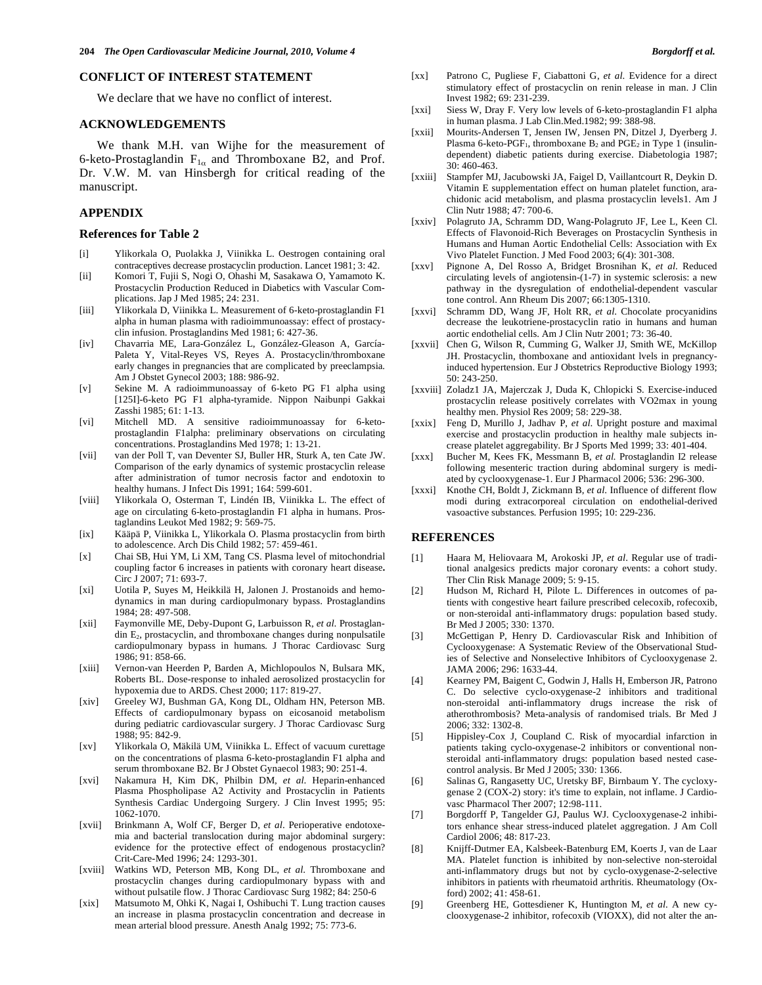#### **CONFLICT OF INTEREST STATEMENT**

We declare that we have no conflict of interest.

#### **ACKNOWLEDGEMENTS**

 We thank M.H. van Wijhe for the measurement of 6-keto-Prostaglandin  $F_{1\alpha}$  and Thromboxane B2, and Prof. Dr. V.W. M. van Hinsbergh for critical reading of the manuscript.

## **APPENDIX**

#### **References for Table 2**

- [i] Ylikorkala O, Puolakka J, Viinikka L. Oestrogen containing oral contraceptives decrease prostacyclin production. Lancet 1981; 3: 42.
- [ii] Komori T, Fujii S, Nogi O, Ohashi M, Sasakawa O, Yamamoto K. Prostacyclin Production Reduced in Diabetics with Vascular Complications. Jap J Med 1985; 24: 231.
- [iii] Ylikorkala D, Viinikka L. Measurement of 6-keto-prostaglandin F1 alpha in human plasma with radioimmunoassay: effect of prostacyclin infusion. Prostaglandins Med 1981; 6: 427-36.
- [iv] Chavarria ME, Lara-González L, González-Gleason A, García-Paleta Y, Vital-Reyes VS, Reyes A. Prostacyclin/thromboxane early changes in pregnancies that are complicated by preeclampsia*.* Am J Obstet Gynecol 2003; 188: 986-92.
- [v] Sekine M. A radioimmunoassay of 6-keto PG F1 alpha using [125I]-6-keto PG F1 alpha-tyramide. Nippon Naibunpi Gakkai Zasshi 1985; 61: 1-13.
- [vi] Mitchell MD. A sensitive radioimmunoassay for 6-ketoprostaglandin F1alpha: preliminary observations on circulating concentrations. Prostaglandins Med 1978; 1: 13-21.
- [vii] van der Poll T, van Deventer SJ, Buller HR, Sturk A, ten Cate JW. Comparison of the early dynamics of systemic prostacyclin release after administration of tumor necrosis factor and endotoxin to healthy humans. J Infect Dis 1991; 164: 599-601.
- [viii] Ylikorkala O, Osterman T, Lindén IB, Viinikka L. The effect of age on circulating 6-keto-prostaglandin F1 alpha in humans. Prostaglandins Leukot Med 1982; 9: 569-75.
- [ix] Kääpä P, Viinikka L, Ylikorkala O. Plasma prostacyclin from birth to adolescence. Arch Dis Child 1982; 57: 459-461.
- [x] Chai SB, Hui YM, Li XM, Tang CS. Plasma level of mitochondrial coupling factor 6 increases in patients with coronary heart disease**.**  Circ J 2007; 71: 693-7.
- [xi] Uotila P, Suyes M, Heikkilä H, Jalonen J. Prostanoids and hemodynamics in man during cardiopulmonary bypass. Prostaglandins 1984; 28: 497-508.
- [xii] Faymonville ME, Deby-Dupont G, Larbuisson R, *et al*. Prostaglandin E2, prostacyclin, and thromboxane changes during nonpulsatile cardiopulmonary bypass in humans*.* J Thorac Cardiovasc Surg 1986; 91: 858-66.
- [xiii] Vernon-van Heerden P, Barden A, Michlopoulos N, Bulsara MK, Roberts BL. Dose-response to inhaled aerosolized prostacyclin for hypoxemia due to ARDS. Chest 2000; 117: 819-27.
- [xiv] Greeley WJ, Bushman GA, Kong DL, Oldham HN, Peterson MB. Effects of cardiopulmonary bypass on eicosanoid metabolism during pediatric cardiovascular surgery*.* J Thorac Cardiovasc Surg 1988; 95: 842-9.
- [xv] Ylikorkala O, Mäkilä UM, Viinikka L. Effect of vacuum curettage on the concentrations of plasma 6-keto-prostaglandin F1 alpha and serum thromboxane B2. Br J Obstet Gynaecol 1983; 90: 251-4.
- [xvi] Nakamura H, Kim DK, Philbin DM, *et al*. Heparin-enhanced Plasma Phospholipase A2 Activity and Prostacyclin in Patients Synthesis Cardiac Undergoing Surgery*.* J Clin Invest 1995; 95: 1062-1070.
- [xvii] Brinkmann A, Wolf CF, Berger D, *et al*. Perioperative endotoxemia and bacterial translocation during major abdominal surgery: evidence for the protective effect of endogenous prostacyclin? Crit-Care-Med 1996; 24: 1293-301.
- [xviii] Watkins WD, Peterson MB, Kong DL, *et al*. Thromboxane and prostacyclin changes during cardiopulmonary bypass with and without pulsatile flow. J Thorac Cardiovasc Surg 1982; 84: 250-6
- [xix] Matsumoto M, Ohki K, Nagai I, Oshibuchi T. Lung traction causes an increase in plasma prostacyclin concentration and decrease in mean arterial blood pressure. Anesth Analg 1992; 75: 773-6.
- [xx] Patrono C, Pugliese F, Ciabattoni G, *et al*. Evidence for a direct stimulatory effect of prostacyclin on renin release in man. J Clin Invest 1982; 69: 231-239.
- [xxi] Siess W, Dray F. Very low levels of 6-keto-prostaglandin F1 alpha in human plasma. J Lab Clin.Med.1982; 99: 388-98.
- [xxii] Mourits-Andersen T, Jensen IW, Jensen PN, Ditzel J, Dyerberg J. Plasma 6-keto-PGF<sub>1</sub>, thromboxane  $B_2$  and PGE<sub>2</sub> in Type 1 (insulindependent) diabetic patients during exercise. Diabetologia 1987; 30: 460-463.
- [xxiii] Stampfer MJ, Jacubowski JA, Faigel D, Vaillantcourt R, Deykin D. Vitamin E supplementation effect on human platelet function, arachidonic acid metabolism, and plasma prostacyclin levels1. Am J Clin Nutr 1988; 47: 700-6.
- [xxiv] Polagruto JA, Schramm DD, Wang-Polagruto JF, Lee L, Keen Cl. Effects of Flavonoid-Rich Beverages on Prostacyclin Synthesis in Humans and Human Aortic Endothelial Cells: Association with Ex Vivo Platelet Function. J Med Food 2003; 6(4): 301-308.
- [xxv] Pignone A, Del Rosso A, Bridget Brosnihan K, *et al*. Reduced circulating levels of angiotensin-(1-7) in systemic sclerosis: a new pathway in the dysregulation of endothelial-dependent vascular tone control. Ann Rheum Dis 2007; 66:1305-1310.
- [xxvi] Schramm DD, Wang JF, Holt RR, *et al*. Chocolate procyanidins decrease the leukotriene-prostacyclin ratio in humans and human aortic endothelial cells. Am J Clin Nutr 2001; 73: 36-40.
- [xxvii] Chen G, Wilson R, Cumming G, Walker JJ, Smith WE, McKillop JH. Prostacyclin, thomboxane and antioxidant lvels in pregnancyinduced hypertension. Eur J Obstetrics Reproductive Biology 1993; 50: 243-250.
- [xxviii] Zoladz1 JA, Majerczak J, Duda K, Chlopicki S*.* Exercise-induced prostacyclin release positively correlates with VO2max in young healthy men. Physiol Res 2009; 58: 229-38.
- [xxix] Feng D, Murillo J, Jadhav P, *et al*. Upright posture and maximal exercise and prostacyclin production in healthy male subjects increase platelet aggregability*.* Br J Sports Med 1999; 33: 401-404.
- [xxx] Bucher M, Kees FK, Messmann B, *et al.* Prostaglandin I2 release following mesenteric traction during abdominal surgery is mediated by cyclooxygenase-1. Eur J Pharmacol 2006; 536: 296-300.
- [xxxi] Knothe CH, Boldt J, Zickmann B, *et al.* Influence of different flow modi during extracorporeal circulation on endothelial-derived vasoactive substances*.* Perfusion 1995; 10: 229-236.

#### **REFERENCES**

- [1] Haara M, Heliovaara M, Arokoski JP, *et al*. Regular use of traditional analgesics predicts major coronary events: a cohort study. Ther Clin Risk Manage 2009; 5: 9-15.
- [2] Hudson M, Richard H, Pilote L. Differences in outcomes of patients with congestive heart failure prescribed celecoxib, rofecoxib, or non-steroidal anti-inflammatory drugs: population based study. Br Med J 2005; 330: 1370.
- [3] McGettigan P, Henry D. Cardiovascular Risk and Inhibition of Cyclooxygenase: A Systematic Review of the Observational Studies of Selective and Nonselective Inhibitors of Cyclooxygenase 2. JAMA 2006; 296: 1633-44.
- [4] Kearney PM, Baigent C, Godwin J, Halls H, Emberson JR, Patrono C. Do selective cyclo-oxygenase-2 inhibitors and traditional non-steroidal anti-inflammatory drugs increase the risk of atherothrombosis? Meta-analysis of randomised trials. Br Med J 2006; 332: 1302-8.
- [5] Hippisley-Cox J, Coupland C. Risk of myocardial infarction in patients taking cyclo-oxygenase-2 inhibitors or conventional nonsteroidal anti-inflammatory drugs: population based nested casecontrol analysis. Br Med J 2005; 330: 1366.
- [6] Salinas G, Rangasetty UC, Uretsky BF, Birnbaum Y. The cycloxygenase 2 (COX-2) story: it's time to explain, not inflame. J Cardiovasc Pharmacol Ther 2007; 12:98-111.
- [7] Borgdorff P, Tangelder GJ, Paulus WJ. Cyclooxygenase-2 inhibitors enhance shear stress-induced platelet aggregation. J Am Coll Cardiol 2006; 48: 817-23.
- [8] Knijff-Dutmer EA, Kalsbeek-Batenburg EM, Koerts J, van de Laar MA. Platelet function is inhibited by non-selective non-steroidal anti-inflammatory drugs but not by cyclo-oxygenase-2-selective inhibitors in patients with rheumatoid arthritis. Rheumatology (Oxford) 2002; 41: 458-61.
- [9] Greenberg HE, Gottesdiener K, Huntington M, *et al*. A new cyclooxygenase-2 inhibitor, rofecoxib (VIOXX), did not alter the an-